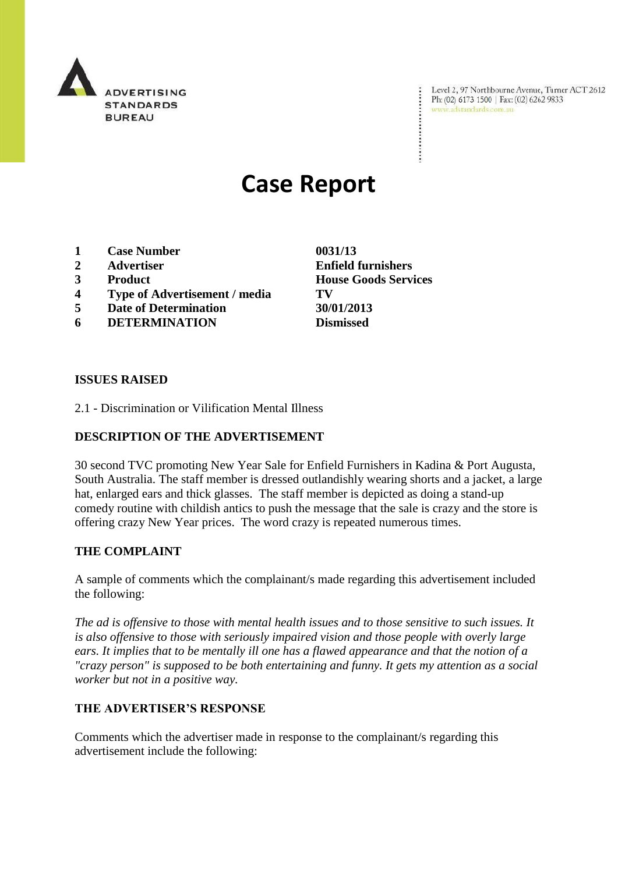

Level 2, 97 Northbourne Avenue, Turner ACT 2612 Ph: (02) 6173 1500 | Fax: (02) 6262 9833 www.adstandards.com.au

# **Case Report**

- **1 Case Number 0031/13**
- 
- 
- **4 Type of Advertisement / media TV**
- **5 Date of Determination 30/01/2013**
- **6 DETERMINATION Dismissed**

**ISSUES RAISED**

2.1 - Discrimination or Vilification Mental Illness

### **DESCRIPTION OF THE ADVERTISEMENT**

30 second TVC promoting New Year Sale for Enfield Furnishers in Kadina & Port Augusta, South Australia. The staff member is dressed outlandishly wearing shorts and a jacket, a large hat, enlarged ears and thick glasses. The staff member is depicted as doing a stand-up comedy routine with childish antics to push the message that the sale is crazy and the store is offering crazy New Year prices. The word crazy is repeated numerous times.

#### **THE COMPLAINT**

A sample of comments which the complainant/s made regarding this advertisement included the following:

*The ad is offensive to those with mental health issues and to those sensitive to such issues. It is also offensive to those with seriously impaired vision and those people with overly large ears. It implies that to be mentally ill one has a flawed appearance and that the notion of a "crazy person" is supposed to be both entertaining and funny. It gets my attention as a social worker but not in a positive way.*

#### **THE ADVERTISER'S RESPONSE**

Comments which the advertiser made in response to the complainant/s regarding this advertisement include the following:

**2 Advertiser Enfield furnishers 3 Product House Goods Services**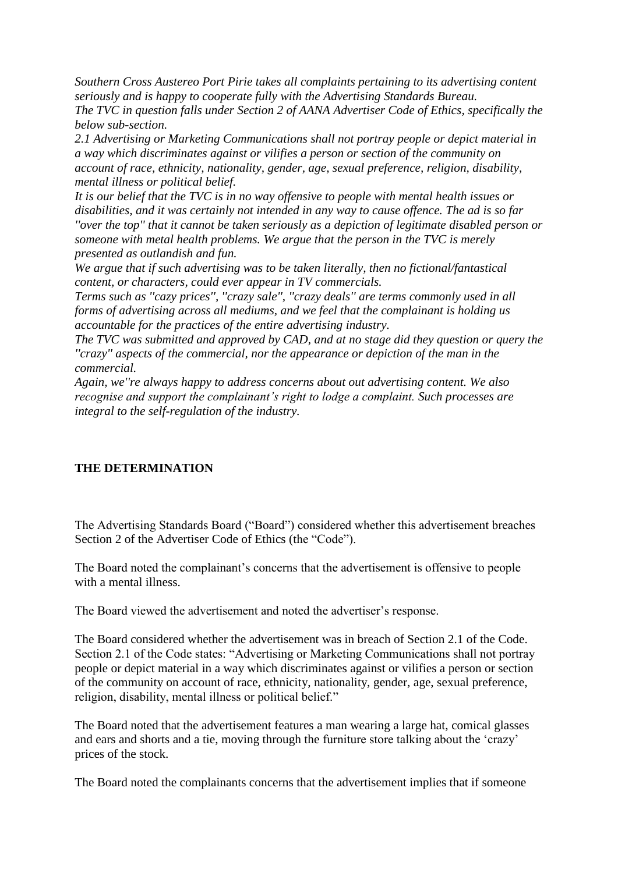*Southern Cross Austereo Port Pirie takes all complaints pertaining to its advertising content seriously and is happy to cooperate fully with the Advertising Standards Bureau. The TVC in question falls under Section 2 of AANA Advertiser Code of Ethics, specifically the below sub-section.*

*2.1 Advertising or Marketing Communications shall not portray people or depict material in a way which discriminates against or vilifies a person or section of the community on account of race, ethnicity, nationality, gender, age, sexual preference, religion, disability, mental illness or political belief.*

*It is our belief that the TVC is in no way offensive to people with mental health issues or disabilities, and it was certainly not intended in any way to cause offence. The ad is so far ''over the top'' that it cannot be taken seriously as a depiction of legitimate disabled person or someone with metal health problems. We argue that the person in the TVC is merely presented as outlandish and fun.*

*We argue that if such advertising was to be taken literally, then no fictional/fantastical content, or characters, could ever appear in TV commercials.*

*Terms such as ''cazy prices'', ''crazy sale'', ''crazy deals'' are terms commonly used in all forms of advertising across all mediums, and we feel that the complainant is holding us accountable for the practices of the entire advertising industry.*

*The TVC was submitted and approved by CAD, and at no stage did they question or query the ''crazy'' aspects of the commercial, nor the appearance or depiction of the man in the commercial.*

*Again, we''re always happy to address concerns about out advertising content. We also recognise and support the complainant's right to lodge a complaint. Such processes are integral to the self-regulation of the industry.*

## **THE DETERMINATION**

The Advertising Standards Board ("Board") considered whether this advertisement breaches Section 2 of the Advertiser Code of Ethics (the "Code").

The Board noted the complainant's concerns that the advertisement is offensive to people with a mental illness.

The Board viewed the advertisement and noted the advertiser's response.

The Board considered whether the advertisement was in breach of Section 2.1 of the Code. Section 2.1 of the Code states: "Advertising or Marketing Communications shall not portray people or depict material in a way which discriminates against or vilifies a person or section of the community on account of race, ethnicity, nationality, gender, age, sexual preference, religion, disability, mental illness or political belief."

The Board noted that the advertisement features a man wearing a large hat, comical glasses and ears and shorts and a tie, moving through the furniture store talking about the "crazy" prices of the stock.

The Board noted the complainants concerns that the advertisement implies that if someone